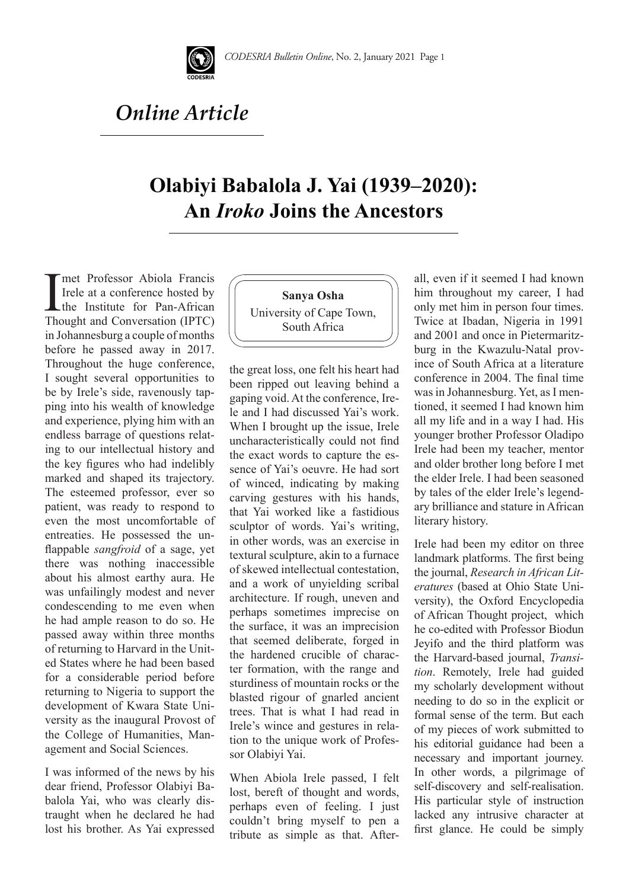

## *Online Article*

## **Olabiyi Babalola J. Yai (1939–2020): An** *Iroko* **Joins the Ancestors**

The Professor Abiola Francis<br>Irele at a conference hosted by<br>the Institute for Pan-African<br>Thought and Conversation (IPTC) Irele at a conference hosted by Lthe Institute for Pan-African Thought and Conversation (IPTC) in Johannesburg a couple of months before he passed away in 2017. Throughout the huge conference, I sought several opportunities to be by Irele's side, ravenously tapping into his wealth of knowledge and experience, plying him with an endless barrage of questions relating to our intellectual history and the key figures who had indelibly marked and shaped its trajectory. The esteemed professor, ever so patient, was ready to respond to even the most uncomfortable of entreaties. He possessed the unflappable *sangfroid* of a sage, yet there was nothing inaccessible about his almost earthy aura. He was unfailingly modest and never condescending to me even when he had ample reason to do so. He passed away within three months of returning to Harvard in the United States where he had been based for a considerable period before returning to Nigeria to support the development of Kwara State University as the inaugural Provost of the College of Humanities, Management and Social Sciences.

I was informed of the news by his dear friend, Professor Olabiyi Babalola Yai, who was clearly distraught when he declared he had lost his brother. As Yai expressed

**Sanya Osha** University of Cape Town, South Africa

the great loss, one felt his heart had been ripped out leaving behind a gaping void. At the conference, Irele and I had discussed Yai's work. When I brought up the issue, Irele uncharacteristically could not find the exact words to capture the essence of Yai's oeuvre. He had sort of winced, indicating by making carving gestures with his hands, that Yai worked like a fastidious sculptor of words. Yai's writing, in other words, was an exercise in textural sculpture, akin to a furnace of skewed intellectual contestation, and a work of unyielding scribal architecture. If rough, uneven and perhaps sometimes imprecise on the surface, it was an imprecision that seemed deliberate, forged in the hardened crucible of character formation, with the range and sturdiness of mountain rocks or the blasted rigour of gnarled ancient trees. That is what I had read in Irele's wince and gestures in relation to the unique work of Professor Olabiyi Yai.

When Abiola Irele passed, I felt lost, bereft of thought and words, perhaps even of feeling. I just couldn't bring myself to pen a tribute as simple as that. Afterall, even if it seemed I had known him throughout my career, I had only met him in person four times. Twice at Ibadan, Nigeria in 1991 and 2001 and once in Pietermaritzburg in the Kwazulu-Natal province of South Africa at a literature conference in 2004. The final time was in Johannesburg. Yet, as I mentioned, it seemed I had known him all my life and in a way I had. His younger brother Professor Oladipo Irele had been my teacher, mentor and older brother long before I met the elder Irele. I had been seasoned by tales of the elder Irele's legendary brilliance and stature in African literary history.

Irele had been my editor on three landmark platforms. The first being the journal, *Research in African Literatures* (based at Ohio State University), the Oxford Encyclopedia of African Thought project, which he co-edited with Professor Biodun Jeyifo and the third platform was the Harvard-based journal, *Transition*. Remotely, Irele had guided my scholarly development without needing to do so in the explicit or formal sense of the term. But each of my pieces of work submitted to his editorial guidance had been a necessary and important journey. In other words, a pilgrimage of self-discovery and self-realisation. His particular style of instruction lacked any intrusive character at first glance. He could be simply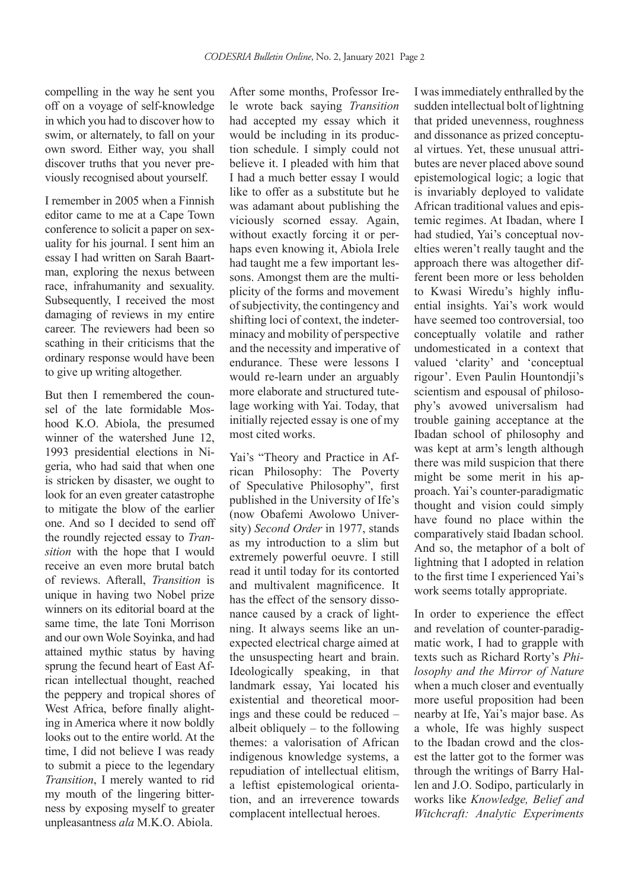compelling in the way he sent you off on a voyage of self-knowledge in which you had to discover how to swim, or alternately, to fall on your own sword. Either way, you shall discover truths that you never previously recognised about yourself.

I remember in 2005 when a Finnish editor came to me at a Cape Town conference to solicit a paper on sexuality for his journal. I sent him an essay I had written on Sarah Baartman, exploring the nexus between race, infrahumanity and sexuality. Subsequently, I received the most damaging of reviews in my entire career. The reviewers had been so scathing in their criticisms that the ordinary response would have been to give up writing altogether.

But then I remembered the counsel of the late formidable Moshood K.O. Abiola, the presumed winner of the watershed June 12, 1993 presidential elections in Nigeria, who had said that when one is stricken by disaster, we ought to look for an even greater catastrophe to mitigate the blow of the earlier one. And so I decided to send off the roundly rejected essay to *Transition* with the hope that I would receive an even more brutal batch of reviews. Afterall, *Transition* is unique in having two Nobel prize winners on its editorial board at the same time, the late Toni Morrison and our own Wole Soyinka, and had attained mythic status by having sprung the fecund heart of East African intellectual thought, reached the peppery and tropical shores of West Africa, before finally alighting in America where it now boldly looks out to the entire world. At the time, I did not believe I was ready to submit a piece to the legendary *Transition*, I merely wanted to rid my mouth of the lingering bitterness by exposing myself to greater unpleasantness *ala* M.K.O. Abiola.

After some months, Professor Irele wrote back saying *Transition* had accepted my essay which it would be including in its production schedule. I simply could not believe it. I pleaded with him that I had a much better essay I would like to offer as a substitute but he was adamant about publishing the viciously scorned essay. Again, without exactly forcing it or perhaps even knowing it, Abiola Irele had taught me a few important lessons. Amongst them are the multiplicity of the forms and movement of subjectivity, the contingency and shifting loci of context, the indeterminacy and mobility of perspective and the necessity and imperative of endurance. These were lessons I would re-learn under an arguably more elaborate and structured tutelage working with Yai. Today, that initially rejected essay is one of my most cited works.

Yai's "Theory and Practice in African Philosophy: The Poverty of Speculative Philosophy", first published in the University of Ife's (now Obafemi Awolowo University) *Second Order* in 1977, stands as my introduction to a slim but extremely powerful oeuvre. I still read it until today for its contorted and multivalent magnificence. It has the effect of the sensory dissonance caused by a crack of lightning. It always seems like an unexpected electrical charge aimed at the unsuspecting heart and brain. Ideologically speaking, in that landmark essay, Yai located his existential and theoretical moorings and these could be reduced – albeit obliquely  $-$  to the following themes: a valorisation of African indigenous knowledge systems, a repudiation of intellectual elitism, a leftist epistemological orientation, and an irreverence towards complacent intellectual heroes.

I was immediately enthralled by the sudden intellectual bolt of lightning that prided unevenness, roughness and dissonance as prized conceptual virtues. Yet, these unusual attributes are never placed above sound epistemological logic; a logic that is invariably deployed to validate African traditional values and epistemic regimes. At Ibadan, where I had studied, Yai's conceptual novelties weren't really taught and the approach there was altogether different been more or less beholden to Kwasi Wiredu's highly influential insights. Yai's work would have seemed too controversial, too conceptually volatile and rather undomesticated in a context that valued 'clarity' and 'conceptual rigour'. Even Paulin Hountondji's scientism and espousal of philosophy's avowed universalism had trouble gaining acceptance at the Ibadan school of philosophy and was kept at arm's length although there was mild suspicion that there might be some merit in his approach. Yai's counter-paradigmatic thought and vision could simply have found no place within the comparatively staid Ibadan school. And so, the metaphor of a bolt of lightning that I adopted in relation to the first time I experienced Yai's work seems totally appropriate.

In order to experience the effect and revelation of counter-paradigmatic work, I had to grapple with texts such as Richard Rorty's *Philosophy and the Mirror of Nature* when a much closer and eventually more useful proposition had been nearby at Ife, Yai's major base. As a whole, Ife was highly suspect to the Ibadan crowd and the closest the latter got to the former was through the writings of Barry Hallen and J.O. Sodipo, particularly in works like *Knowledge, Belief and Witchcraft: Analytic Experiments*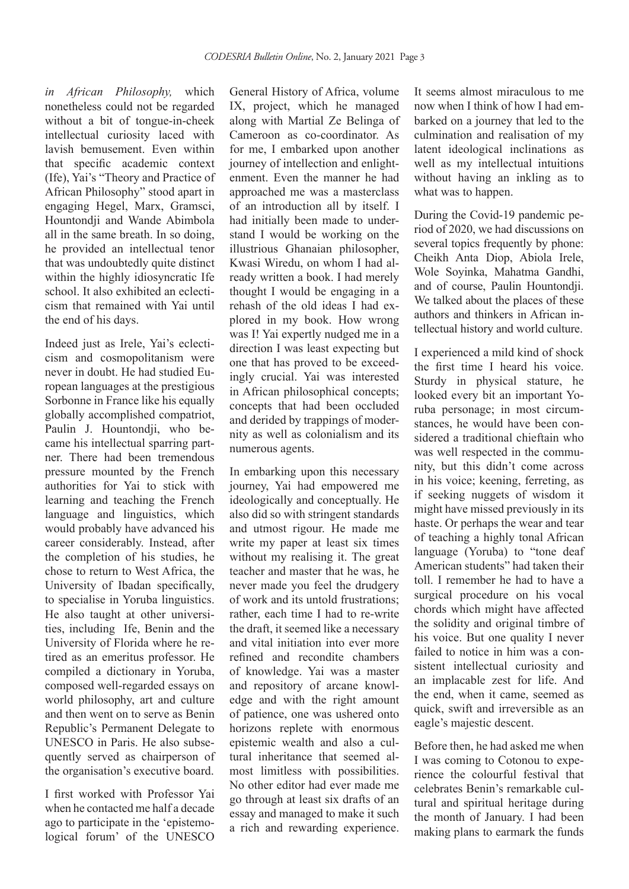*in African Philosophy,* which nonetheless could not be regarded without a bit of tongue-in-cheek intellectual curiosity laced with lavish bemusement. Even within that specific academic context (Ife), Yai's "Theory and Practice of African Philosophy" stood apart in engaging Hegel, Marx, Gramsci, Hountondji and Wande Abimbola all in the same breath. In so doing, he provided an intellectual tenor that was undoubtedly quite distinct within the highly idiosyncratic Ife school. It also exhibited an eclecticism that remained with Yai until the end of his days.

Indeed just as Irele, Yai's eclecticism and cosmopolitanism were never in doubt. He had studied European languages at the prestigious Sorbonne in France like his equally globally accomplished compatriot, Paulin J. Hountondji, who became his intellectual sparring partner. There had been tremendous pressure mounted by the French authorities for Yai to stick with learning and teaching the French language and linguistics, which would probably have advanced his career considerably. Instead, after the completion of his studies, he chose to return to West Africa, the University of Ibadan specifically, to specialise in Yoruba linguistics. He also taught at other universities, including Ife, Benin and the University of Florida where he retired as an emeritus professor. He compiled a dictionary in Yoruba, composed well-regarded essays on world philosophy, art and culture and then went on to serve as Benin Republic's Permanent Delegate to UNESCO in Paris. He also subsequently served as chairperson of the organisation's executive board.

I first worked with Professor Yai when he contacted me half a decade ago to participate in the 'epistemological forum' of the UNESCO

General History of Africa, volume IX, project, which he managed along with Martial Ze Belinga of Cameroon as co-coordinator. As for me, I embarked upon another journey of intellection and enlightenment. Even the manner he had approached me was a masterclass of an introduction all by itself. I had initially been made to understand I would be working on the illustrious Ghanaian philosopher, Kwasi Wiredu, on whom I had already written a book. I had merely thought I would be engaging in a rehash of the old ideas I had explored in my book. How wrong was I! Yai expertly nudged me in a direction I was least expecting but one that has proved to be exceedingly crucial. Yai was interested in African philosophical concepts; concepts that had been occluded and derided by trappings of modernity as well as colonialism and its numerous agents.

In embarking upon this necessary journey, Yai had empowered me ideologically and conceptually. He also did so with stringent standards and utmost rigour. He made me write my paper at least six times without my realising it. The great teacher and master that he was, he never made you feel the drudgery of work and its untold frustrations; rather, each time I had to re-write the draft, it seemed like a necessary and vital initiation into ever more refined and recondite chambers of knowledge. Yai was a master and repository of arcane knowledge and with the right amount of patience, one was ushered onto horizons replete with enormous epistemic wealth and also a cultural inheritance that seemed almost limitless with possibilities. No other editor had ever made me go through at least six drafts of an essay and managed to make it such a rich and rewarding experience. It seems almost miraculous to me now when I think of how I had embarked on a journey that led to the culmination and realisation of my latent ideological inclinations as well as my intellectual intuitions without having an inkling as to what was to happen.

During the Covid-19 pandemic period of 2020, we had discussions on several topics frequently by phone: Cheikh Anta Diop, Abiola Irele, Wole Soyinka, Mahatma Gandhi, and of course, Paulin Hountondji. We talked about the places of these authors and thinkers in African intellectual history and world culture.

I experienced a mild kind of shock the first time I heard his voice. Sturdy in physical stature, he looked every bit an important Yoruba personage; in most circumstances, he would have been considered a traditional chieftain who was well respected in the community, but this didn't come across in his voice; keening, ferreting, as if seeking nuggets of wisdom it might have missed previously in its haste. Or perhaps the wear and tear of teaching a highly tonal African language (Yoruba) to "tone deaf American students" had taken their toll. I remember he had to have a surgical procedure on his vocal chords which might have affected the solidity and original timbre of his voice. But one quality I never failed to notice in him was a consistent intellectual curiosity and an implacable zest for life. And the end, when it came, seemed as quick, swift and irreversible as an eagle's majestic descent.

Before then, he had asked me when I was coming to Cotonou to experience the colourful festival that celebrates Benin's remarkable cultural and spiritual heritage during the month of January. I had been making plans to earmark the funds